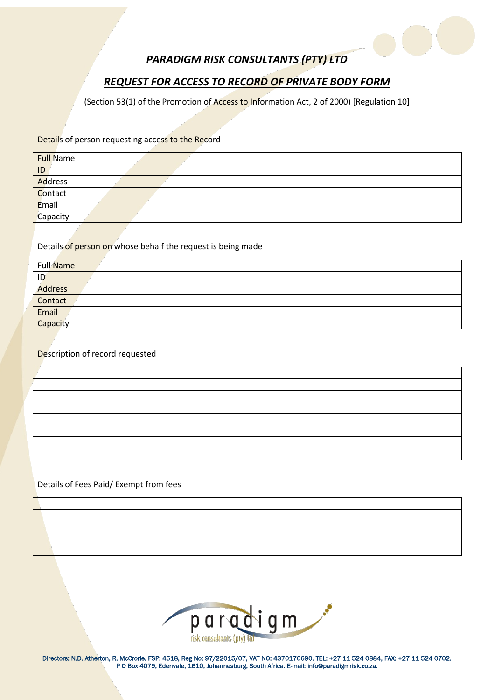

# *PARADIGM RISK CONSULTANTS (PTY) LTD*

# *REQUEST FOR ACCESS TO RECORD OF PRIVATE BODY FORM*

(Section 53(1) of the Promotion of Access to Information Act, 2 of 2000) [Regulation 10]

#### Details of person requesting access to the Record

| <b>Full Name</b> |  |  |
|------------------|--|--|
| ID               |  |  |
| Address          |  |  |
| Contact          |  |  |
| Email            |  |  |
| Capacity         |  |  |
|                  |  |  |

### Details of person on whose behalf the request is being made

| Full Name      |  |
|----------------|--|
| ID             |  |
| <b>Address</b> |  |
| Contact        |  |
| Email          |  |
| Capacity       |  |

### Description of record requested

### Details of Fees Paid/ Exempt from fees



Directors: N.D. Atherton, R. McCrorie. FSP: 4518, Reg No: 97/22015/07, VAT NO: 4370170690. TEL: +27 11 524 0884, FAX: +27 11 524 0702. P O Box 4079, Edenvale, 1610, Johannesburg, South Africa. E-mail: info@paradigmrisk.co.za.